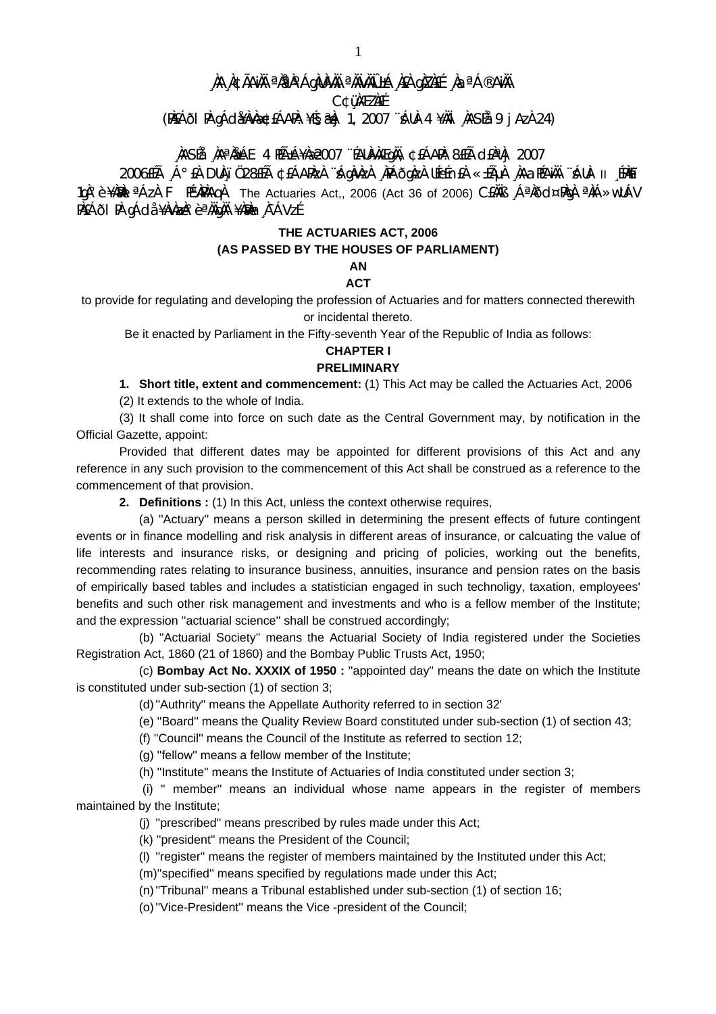# **¸ÀA¸À¢ÃAiÀÄ ªÀåªÀºÁgÀUÀ¼ÀÄ ªÀÄvÀÄÛ ±Á¸À£À gÀZÀ£É ¸ÀaªÁ®AiÀÄ**

**C¢ü¸ÀÆZÀ£É** 

**(PÀ£ÁðlPÀ gÁdå¥ÀvÀæ ¢£ÁAPÀ: ¥É§æªÀj 1, 2007 ¨sÁUÀ-4 ¥ÀÄl¸ÀASÉå: 9 jAzÀ 24)** 

## **¸ÀASÉå: ¸ÀAªÀå±ÁE 4 PÉñÁ¥Àæ 2007 ¨ÉAUÀ¼ÀÆgÀÄ, ¢£ÁAPÀ: 8£Éà d£ÀªÀj 2007**

 $2006$ £ÉÅ  $\,$ Á $^{\circ}$ £À DUÀ $\,$ ï Ü $\,28$ £Éà ¢£ÁAPÀzÀ  $\,$ `ÀgÀvÀzÀ  $\,$ ÀPÁÕgÀzÀ UÉeÉn£À «±ÁµÀ  $\,$ ÀAaPÉAÄÄ ¨ÁUÀ- II  $\,$ £PÀ $\,$ Eï 1gˡè¥ÀMÀI ªÁzÀ F PɼÀPÀAqÀ The Actuaries Act,, 2006 (Act 36 of 2006) C£ÀÄB ¸ÁªÀðd¤PÀgÀ ªÀiÁ»wUÁV PÀ£Áði PÀ gÁdå ¥ÀvÀæÀ°è ªÀÄgÀÄ ¥ÀæÀn À¯ÁVzÉ

## **THE ACTUARIES ACT, 2006 (AS PASSED BY THE HOUSES OF PARLIAMENT)**

#### **AN ACT**

to provide for regulating and developing the profession of Actuaries and for matters connected therewith or incidental thereto.

Be it enacted by Parliament in the Fifty-seventh Year of the Republic of India as follows:

#### **CHAPTER I PRELIMINARY**

## **1. Short title, extent and commencement:** (1) This Act may be called the Actuaries Act, 2006

(2) It extends to the whole of India.

 (3) It shall come into force on such date as the Central Government may, by notification in the Official Gazette, appoint:

 Provided that different dates may be appointed for different provisions of this Act and any reference in any such provision to the commencement of this Act shall be construed as a reference to the commencement of that provision.

**2. Definitions :** (1) In this Act, unless the context otherwise requires,

 (a) ''Actuary'' means a person skilled in determining the present effects of future contingent events or in finance modelling and risk analysis in different areas of insurance, or calcuating the value of life interests and insurance risks, or designing and pricing of policies, working out the benefits, recommending rates relating to insurance business, annuities, insurance and pension rates on the basis of empirically based tables and includes a statistician engaged in such technoligy, taxation, employees' benefits and such other risk management and investments and who is a fellow member of the Institute; and the expression ''actuarial science'' shall be construed accordingly;

 (b) ''Actuarial Society'' means the Actuarial Society of India registered under the Societies Registration Act, 1860 (21 of 1860) and the Bombay Public Trusts Act, 1950;

 (c) **Bombay Act No. XXXIX of 1950 :** ''appointed day'' means the date on which the Institute is constituted under sub-section (1) of section 3;

(d) ''Authrity'' means the Appellate Authority referred to in section 32'

(e) ''Board'' means the Quality Review Board constituted under sub-section (1) of section 43;

(f) ''Council'' means the Council of the Institute as referred to section 12;

(g) ''fellow'' means a fellow member of the Institute;

(h) ''Institute'' means the Institute of Actuaries of India constituted under section 3;

 (i) '' member'' means an individual whose name appears in the register of members maintained by the Institute;

(j) ''prescribed'' means prescribed by rules made under this Act;

(k) ''president'' means the President of the Council;

(l) ''register'' means the register of members maintained by the Instituted under this Act;

(m)''specified'' means specified by regulations made under this Act;

(n) ''Tribunal'' means a Tribunal established under sub-section (1) of section 16;

(o) ''Vice-President'' means the Vice -president of the Council;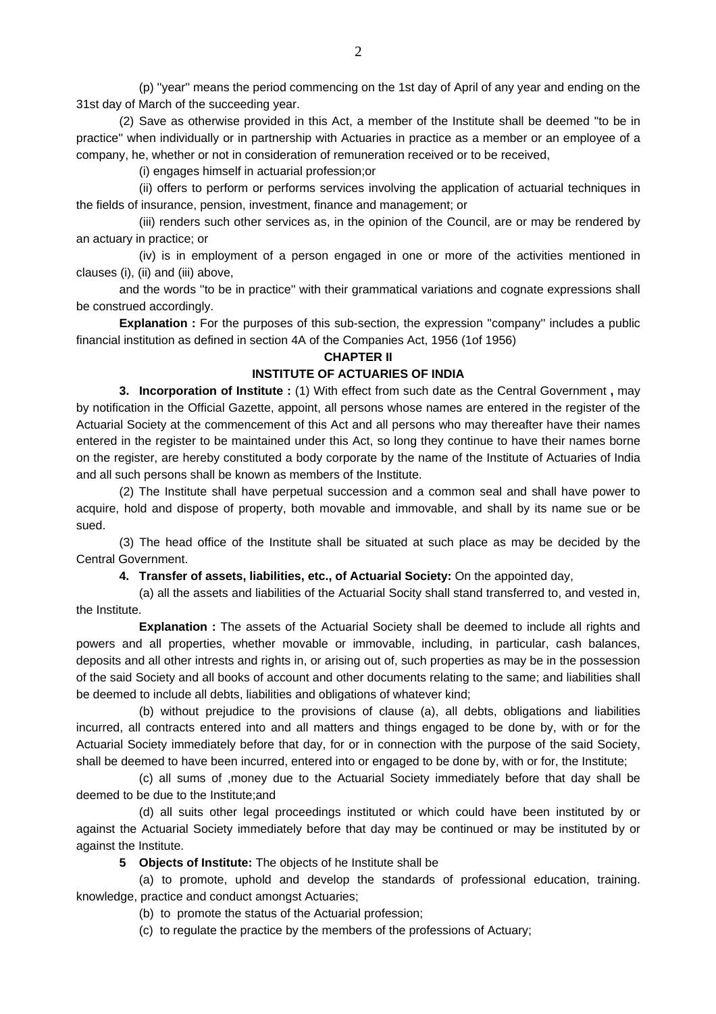(p) ''year'' means the period commencing on the 1st day of April of any year and ending on the 31st day of March of the succeeding year.

 (2) Save as otherwise provided in this Act, a member of the Institute shall be deemed ''to be in practice'' when individually or in partnership with Actuaries in practice as a member or an employee of a company, he, whether or not in consideration of remuneration received or to be received,

(i) engages himself in actuarial profession;or

 (ii) offers to perform or performs services involving the application of actuarial techniques in the fields of insurance, pension, investment, finance and management; or

 (iii) renders such other services as, in the opinion of the Council, are or may be rendered by an actuary in practice; or

 (iv) is in employment of a person engaged in one or more of the activities mentioned in clauses (i), (ii) and (iii) above,

 and the words ''to be in practice'' with their grammatical variations and cognate expressions shall be construed accordingly.

**Explanation :** For the purposes of this sub-section, the expression "company" includes a public financial institution as defined in section 4A of the Companies Act, 1956 (1of 1956)

#### **CHAPTER II**

#### **INSTITUTE OF ACTUARIES OF INDIA**

 **3. Incorporation of Institute :** (1) With effect from such date as the Central Government **,** may by notification in the Official Gazette, appoint, all persons whose names are entered in the register of the Actuarial Society at the commencement of this Act and all persons who may thereafter have their names entered in the register to be maintained under this Act, so long they continue to have their names borne on the register, are hereby constituted a body corporate by the name of the Institute of Actuaries of India and all such persons shall be known as members of the Institute.

 (2) The Institute shall have perpetual succession and a common seal and shall have power to acquire, hold and dispose of property, both movable and immovable, and shall by its name sue or be sued.

 (3) The head office of the Institute shall be situated at such place as may be decided by the Central Government.

**4. Transfer of assets, liabilities, etc., of Actuarial Society:** On the appointed day,

 (a) all the assets and liabilities of the Actuarial Socity shall stand transferred to, and vested in, the Institute.

 **Explanation :** The assets of the Actuarial Society shall be deemed to include all rights and powers and all properties, whether movable or immovable, including, in particular, cash balances, deposits and all other intrests and rights in, or arising out of, such properties as may be in the possession of the said Society and all books of account and other documents relating to the same; and liabilities shall be deemed to include all debts, liabilities and obligations of whatever kind;

 (b) without prejudice to the provisions of clause (a), all debts, obligations and liabilities incurred, all contracts entered into and all matters and things engaged to be done by, with or for the Actuarial Society immediately before that day, for or in connection with the purpose of the said Society, shall be deemed to have been incurred, entered into or engaged to be done by, with or for, the Institute;

 (c) all sums of ,money due to the Actuarial Society immediately before that day shall be deemed to be due to the Institute;and

 (d) all suits other legal proceedings instituted or which could have been instituted by or against the Actuarial Society immediately before that day may be continued or may be instituted by or against the Institute.

**5 Objects of Institute:** The objects of he Institute shall be

 (a) to promote, uphold and develop the standards of professional education, training. knowledge, practice and conduct amongst Actuaries;

(b) to promote the status of the Actuarial profession;

(c) to regulate the practice by the members of the professions of Actuary;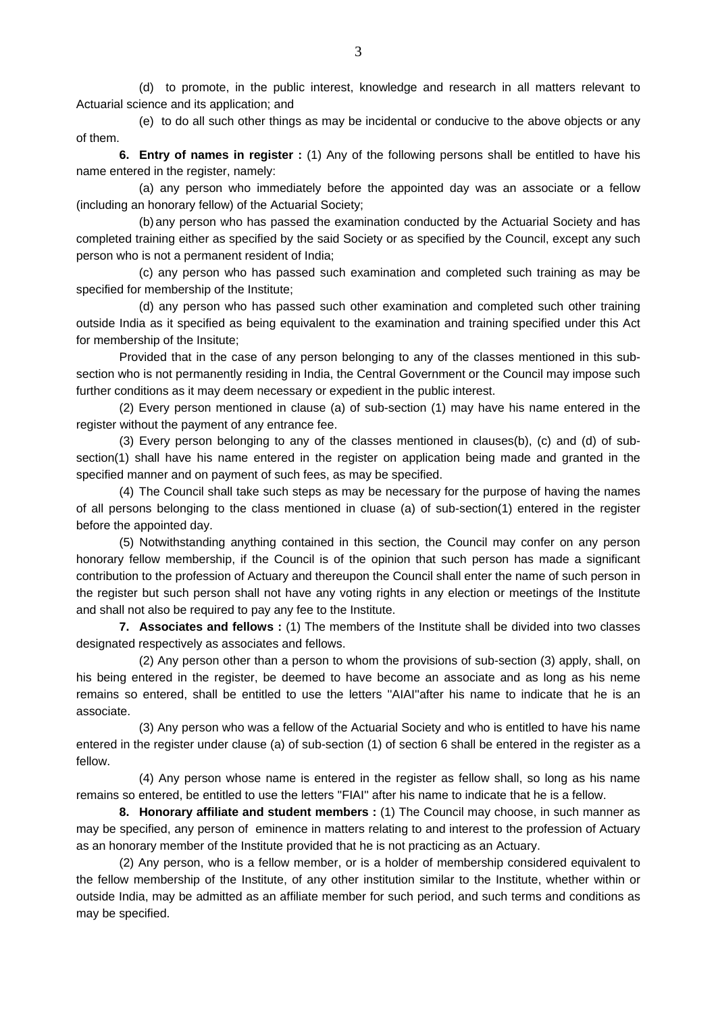(d) to promote, in the public interest, knowledge and research in all matters relevant to Actuarial science and its application; and

 (e) to do all such other things as may be incidental or conducive to the above objects or any of them.

**6. Entry of names in register :** (1) Any of the following persons shall be entitled to have his name entered in the register, namely:

 (a) any person who immediately before the appointed day was an associate or a fellow (including an honorary fellow) of the Actuarial Society;

 (b) any person who has passed the examination conducted by the Actuarial Society and has completed training either as specified by the said Society or as specified by the Council, except any such person who is not a permanent resident of India;

 (c) any person who has passed such examination and completed such training as may be specified for membership of the Institute;

 (d) any person who has passed such other examination and completed such other training outside India as it specified as being equivalent to the examination and training specified under this Act for membership of the Insitute;

 Provided that in the case of any person belonging to any of the classes mentioned in this subsection who is not permanently residing in India, the Central Government or the Council may impose such further conditions as it may deem necessary or expedient in the public interest.

 (2) Every person mentioned in clause (a) of sub-section (1) may have his name entered in the register without the payment of any entrance fee.

 (3) Every person belonging to any of the classes mentioned in clauses(b), (c) and (d) of subsection(1) shall have his name entered in the register on application being made and granted in the specified manner and on payment of such fees, as may be specified.

 (4) The Council shall take such steps as may be necessary for the purpose of having the names of all persons belonging to the class mentioned in cluase (a) of sub-section(1) entered in the register before the appointed day.

 (5) Notwithstanding anything contained in this section, the Council may confer on any person honorary fellow membership, if the Council is of the opinion that such person has made a significant contribution to the profession of Actuary and thereupon the Council shall enter the name of such person in the register but such person shall not have any voting rights in any election or meetings of the Institute and shall not also be required to pay any fee to the Institute.

**7. Associates and fellows :** (1) The members of the Institute shall be divided into two classes designated respectively as associates and fellows.

 (2) Any person other than a person to whom the provisions of sub-section (3) apply, shall, on his being entered in the register, be deemed to have become an associate and as long as his neme remains so entered, shall be entitled to use the letters ''AIAI''after his name to indicate that he is an associate.

 (3) Any person who was a fellow of the Actuarial Society and who is entitled to have his name entered in the register under clause (a) of sub-section (1) of section 6 shall be entered in the register as a fellow.

 (4) Any person whose name is entered in the register as fellow shall, so long as his name remains so entered, be entitled to use the letters ''FIAI'' after his name to indicate that he is a fellow.

**8. Honorary affiliate and student members :** (1) The Council may choose, in such manner as may be specified, any person of eminence in matters relating to and interest to the profession of Actuary as an honorary member of the Institute provided that he is not practicing as an Actuary.

 (2) Any person, who is a fellow member, or is a holder of membership considered equivalent to the fellow membership of the Institute, of any other institution similar to the Institute, whether within or outside India, may be admitted as an affiliate member for such period, and such terms and conditions as may be specified.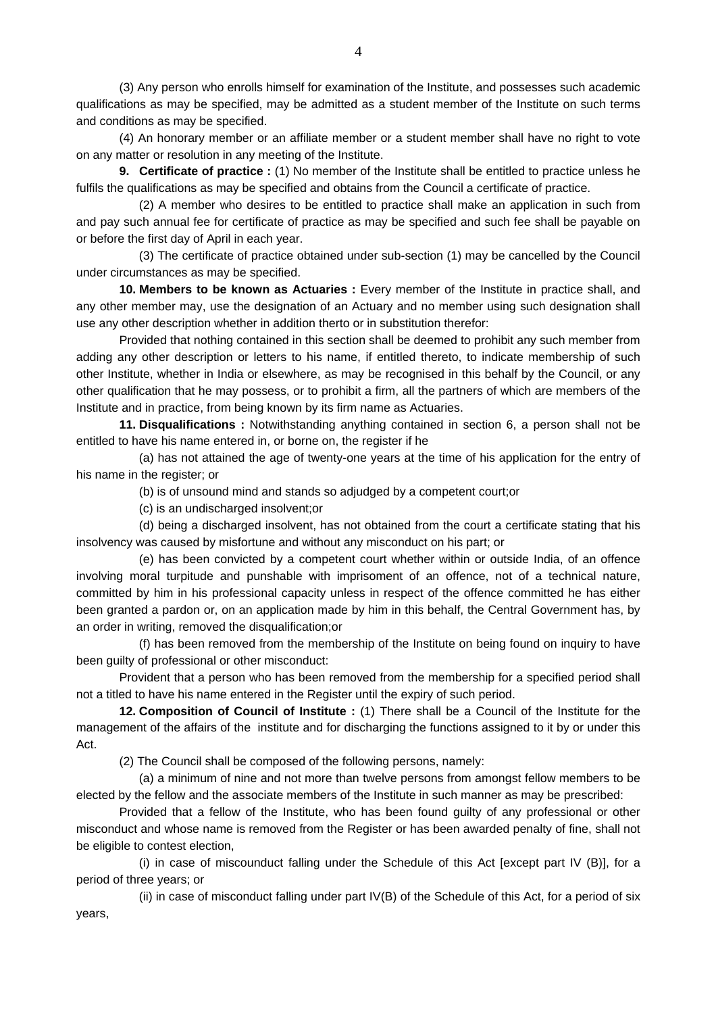(3) Any person who enrolls himself for examination of the Institute, and possesses such academic qualifications as may be specified, may be admitted as a student member of the Institute on such terms and conditions as may be specified.

 (4) An honorary member or an affiliate member or a student member shall have no right to vote on any matter or resolution in any meeting of the Institute.

**9. Certificate of practice :** (1) No member of the Institute shall be entitled to practice unless he fulfils the qualifications as may be specified and obtains from the Council a certificate of practice.

 (2) A member who desires to be entitled to practice shall make an application in such from and pay such annual fee for certificate of practice as may be specified and such fee shall be payable on or before the first day of April in each year.

 (3) The certificate of practice obtained under sub-section (1) may be cancelled by the Council under circumstances as may be specified.

**10. Members to be known as Actuaries** : Every member of the Institute in practice shall, and any other member may, use the designation of an Actuary and no member using such designation shall use any other description whether in addition therto or in substitution therefor:

 Provided that nothing contained in this section shall be deemed to prohibit any such member from adding any other description or letters to his name, if entitled thereto, to indicate membership of such other Institute, whether in India or elsewhere, as may be recognised in this behalf by the Council, or any other qualification that he may possess, or to prohibit a firm, all the partners of which are members of the Institute and in practice, from being known by its firm name as Actuaries.

**11. Disqualifications :** Notwithstanding anything contained in section 6, a person shall not be entitled to have his name entered in, or borne on, the register if he

 (a) has not attained the age of twenty-one years at the time of his application for the entry of his name in the register; or

(b) is of unsound mind and stands so adjudged by a competent court;or

(c) is an undischarged insolvent;or

 (d) being a discharged insolvent, has not obtained from the court a certificate stating that his insolvency was caused by misfortune and without any misconduct on his part; or

 (e) has been convicted by a competent court whether within or outside India, of an offence involving moral turpitude and punshable with imprisoment of an offence, not of a technical nature, committed by him in his professional capacity unless in respect of the offence committed he has either been granted a pardon or, on an application made by him in this behalf, the Central Government has, by an order in writing, removed the disqualification;or

 (f) has been removed from the membership of the Institute on being found on inquiry to have been guilty of professional or other misconduct:

 Provident that a person who has been removed from the membership for a specified period shall not a titled to have his name entered in the Register until the expiry of such period.

**12. Composition of Council of Institute :** (1) There shall be a Council of the Institute for the management of the affairs of the institute and for discharging the functions assigned to it by or under this Act.

(2) The Council shall be composed of the following persons, namely:

 (a) a minimum of nine and not more than twelve persons from amongst fellow members to be elected by the fellow and the associate members of the Institute in such manner as may be prescribed:

 Provided that a fellow of the Institute, who has been found guilty of any professional or other misconduct and whose name is removed from the Register or has been awarded penalty of fine, shall not be eligible to contest election,

 (i) in case of miscounduct falling under the Schedule of this Act [except part IV (B)], for a period of three years; or

 (ii) in case of misconduct falling under part IV(B) of the Schedule of this Act, for a period of six years,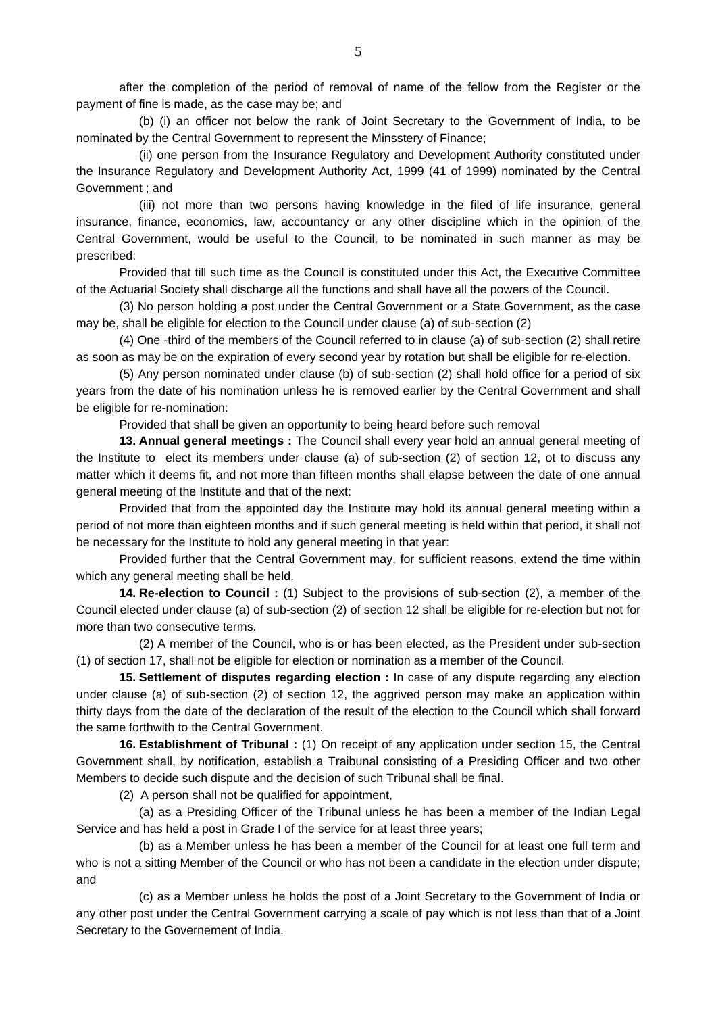after the completion of the period of removal of name of the fellow from the Register or the payment of fine is made, as the case may be; and

 (b) (i) an officer not below the rank of Joint Secretary to the Government of India, to be nominated by the Central Government to represent the Minsstery of Finance;

 (ii) one person from the Insurance Regulatory and Development Authority constituted under the Insurance Regulatory and Development Authority Act, 1999 (41 of 1999) nominated by the Central Government ; and

 (iii) not more than two persons having knowledge in the filed of life insurance, general insurance, finance, economics, law, accountancy or any other discipline which in the opinion of the Central Government, would be useful to the Council, to be nominated in such manner as may be prescribed:

 Provided that till such time as the Council is constituted under this Act, the Executive Committee of the Actuarial Society shall discharge all the functions and shall have all the powers of the Council.

 (3) No person holding a post under the Central Government or a State Government, as the case may be, shall be eligible for election to the Council under clause (a) of sub-section (2)

 (4) One -third of the members of the Council referred to in clause (a) of sub-section (2) shall retire as soon as may be on the expiration of every second year by rotation but shall be eligible for re-election.

 (5) Any person nominated under clause (b) of sub-section (2) shall hold office for a period of six years from the date of his nomination unless he is removed earlier by the Central Government and shall be eligible for re-nomination:

Provided that shall be given an opportunity to being heard before such removal

**13. Annual general meetings :** The Council shall every year hold an annual general meeting of the Institute to elect its members under clause (a) of sub-section (2) of section 12, ot to discuss any matter which it deems fit, and not more than fifteen months shall elapse between the date of one annual general meeting of the Institute and that of the next:

 Provided that from the appointed day the Institute may hold its annual general meeting within a period of not more than eighteen months and if such general meeting is held within that period, it shall not be necessary for the Institute to hold any general meeting in that year:

 Provided further that the Central Government may, for sufficient reasons, extend the time within which any general meeting shall be held.

**14. Re-election to Council :** (1) Subject to the provisions of sub-section (2), a member of the Council elected under clause (a) of sub-section (2) of section 12 shall be eligible for re-election but not for more than two consecutive terms.

 (2) A member of the Council, who is or has been elected, as the President under sub-section (1) of section 17, shall not be eligible for election or nomination as a member of the Council.

**15. Settlement of disputes regarding election :** In case of any dispute regarding any election under clause (a) of sub-section (2) of section 12, the aggrived person may make an application within thirty days from the date of the declaration of the result of the election to the Council which shall forward the same forthwith to the Central Government.

**16. Establishment of Tribunal :** (1) On receipt of any application under section 15, the Central Government shall, by notification, establish a Traibunal consisting of a Presiding Officer and two other Members to decide such dispute and the decision of such Tribunal shall be final.

(2) A person shall not be qualified for appointment,

 (a) as a Presiding Officer of the Tribunal unless he has been a member of the Indian Legal Service and has held a post in Grade I of the service for at least three years;

 (b) as a Member unless he has been a member of the Council for at least one full term and who is not a sitting Member of the Council or who has not been a candidate in the election under dispute; and

 (c) as a Member unless he holds the post of a Joint Secretary to the Government of India or any other post under the Central Government carrying a scale of pay which is not less than that of a Joint Secretary to the Governement of India.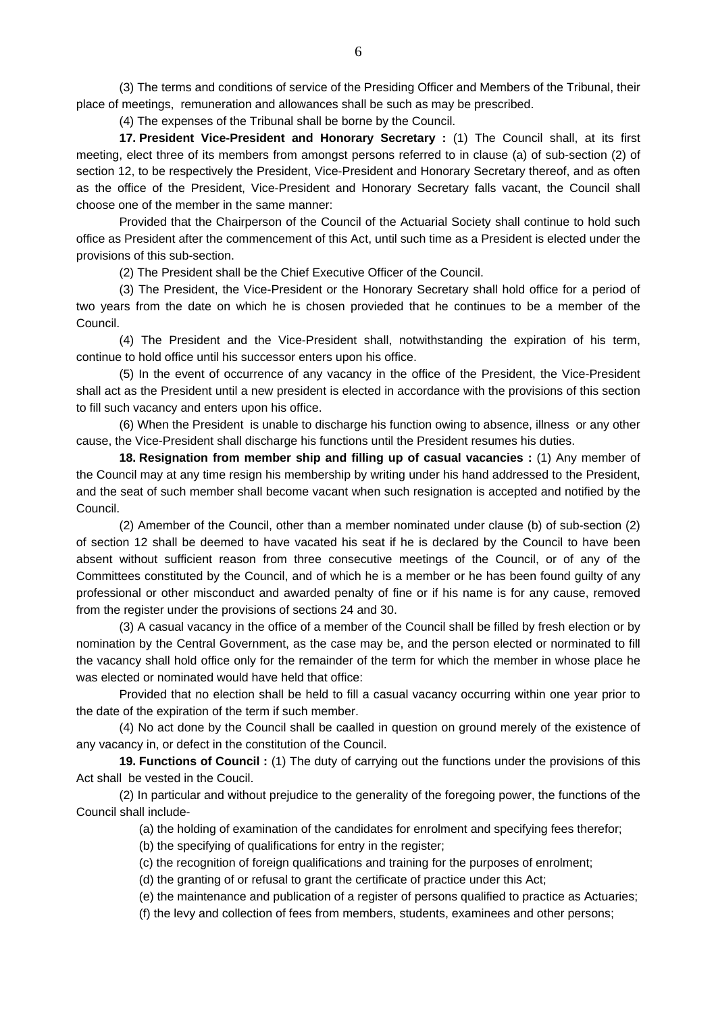(3) The terms and conditions of service of the Presiding Officer and Members of the Tribunal, their place of meetings, remuneration and allowances shall be such as may be prescribed.

(4) The expenses of the Tribunal shall be borne by the Council.

**17. President Vice-President and Honorary Secretary :** (1) The Council shall, at its first meeting, elect three of its members from amongst persons referred to in clause (a) of sub-section (2) of section 12, to be respectively the President, Vice-President and Honorary Secretary thereof, and as often as the office of the President, Vice-President and Honorary Secretary falls vacant, the Council shall choose one of the member in the same manner:

 Provided that the Chairperson of the Council of the Actuarial Society shall continue to hold such office as President after the commencement of this Act, until such time as a President is elected under the provisions of this sub-section.

(2) The President shall be the Chief Executive Officer of the Council.

 (3) The President, the Vice-President or the Honorary Secretary shall hold office for a period of two years from the date on which he is chosen provieded that he continues to be a member of the Council.

 (4) The President and the Vice-President shall, notwithstanding the expiration of his term, continue to hold office until his successor enters upon his office.

 (5) In the event of occurrence of any vacancy in the office of the President, the Vice-President shall act as the President until a new president is elected in accordance with the provisions of this section to fill such vacancy and enters upon his office.

 (6) When the President is unable to discharge his function owing to absence, illness or any other cause, the Vice-President shall discharge his functions until the President resumes his duties.

**18. Resignation from member ship and filling up of casual vacancies :** (1) Any member of the Council may at any time resign his membership by writing under his hand addressed to the President, and the seat of such member shall become vacant when such resignation is accepted and notified by the Council.

 (2) Amember of the Council, other than a member nominated under clause (b) of sub-section (2) of section 12 shall be deemed to have vacated his seat if he is declared by the Council to have been absent without sufficient reason from three consecutive meetings of the Council, or of any of the Committees constituted by the Council, and of which he is a member or he has been found guilty of any professional or other misconduct and awarded penalty of fine or if his name is for any cause, removed from the register under the provisions of sections 24 and 30.

 (3) A casual vacancy in the office of a member of the Council shall be filled by fresh election or by nomination by the Central Government, as the case may be, and the person elected or norminated to fill the vacancy shall hold office only for the remainder of the term for which the member in whose place he was elected or nominated would have held that office:

 Provided that no election shall be held to fill a casual vacancy occurring within one year prior to the date of the expiration of the term if such member.

 (4) No act done by the Council shall be caalled in question on ground merely of the existence of any vacancy in, or defect in the constitution of the Council.

**19. Functions of Council :** (1) The duty of carrying out the functions under the provisions of this Act shall be vested in the Coucil.

 (2) In particular and without prejudice to the generality of the foregoing power, the functions of the Council shall include-

(a) the holding of examination of the candidates for enrolment and specifying fees therefor;

(b) the specifying of qualifications for entry in the register;

(c) the recognition of foreign qualifications and training for the purposes of enrolment;

(d) the granting of or refusal to grant the certificate of practice under this Act;

(e) the maintenance and publication of a register of persons qualified to practice as Actuaries;

(f) the levy and collection of fees from members, students, examinees and other persons;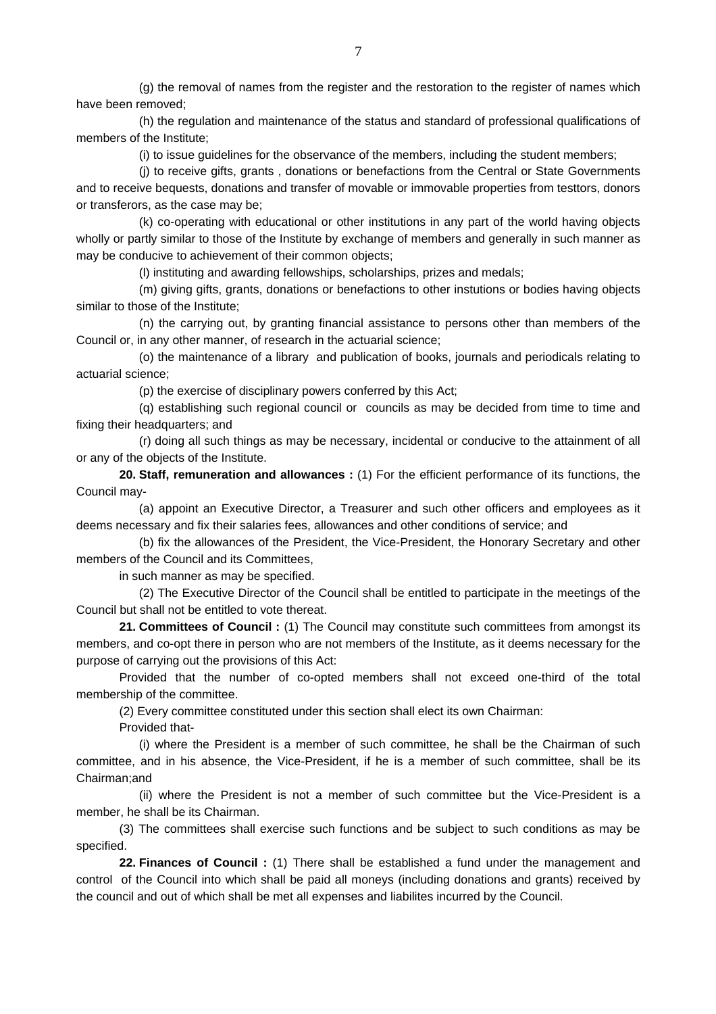(g) the removal of names from the register and the restoration to the register of names which have been removed;

 (h) the regulation and maintenance of the status and standard of professional qualifications of members of the Institute;

(i) to issue guidelines for the observance of the members, including the student members;

 (j) to receive gifts, grants , donations or benefactions from the Central or State Governments and to receive bequests, donations and transfer of movable or immovable properties from testtors, donors or transferors, as the case may be;

 (k) co-operating with educational or other institutions in any part of the world having objects wholly or partly similar to those of the Institute by exchange of members and generally in such manner as may be conducive to achievement of their common objects;

(l) instituting and awarding fellowships, scholarships, prizes and medals;

 (m) giving gifts, grants, donations or benefactions to other instutions or bodies having objects similar to those of the Institute;

 (n) the carrying out, by granting financial assistance to persons other than members of the Council or, in any other manner, of research in the actuarial science;

 (o) the maintenance of a library and publication of books, journals and periodicals relating to actuarial science;

(p) the exercise of disciplinary powers conferred by this Act;

 (q) establishing such regional council or councils as may be decided from time to time and fixing their headquarters; and

 (r) doing all such things as may be necessary, incidental or conducive to the attainment of all or any of the objects of the Institute.

**20. Staff, remuneration and allowances :** (1) For the efficient performance of its functions, the Council may-

 (a) appoint an Executive Director, a Treasurer and such other officers and employees as it deems necessary and fix their salaries fees, allowances and other conditions of service; and

 (b) fix the allowances of the President, the Vice-President, the Honorary Secretary and other members of the Council and its Committees,

in such manner as may be specified.

 (2) The Executive Director of the Council shall be entitled to participate in the meetings of the Council but shall not be entitled to vote thereat.

**21. Committees of Council :** (1) The Council may constitute such committees from amongst its members, and co-opt there in person who are not members of the Institute, as it deems necessary for the purpose of carrying out the provisions of this Act:

 Provided that the number of co-opted members shall not exceed one-third of the total membership of the committee.

(2) Every committee constituted under this section shall elect its own Chairman:

Provided that-

 (i) where the President is a member of such committee, he shall be the Chairman of such committee, and in his absence, the Vice-President, if he is a member of such committee, shall be its Chairman;and

 (ii) where the President is not a member of such committee but the Vice-President is a member, he shall be its Chairman.

 (3) The committees shall exercise such functions and be subject to such conditions as may be specified.

**22. Finances of Council :** (1) There shall be established a fund under the management and control of the Council into which shall be paid all moneys (including donations and grants) received by the council and out of which shall be met all expenses and liabilites incurred by the Council.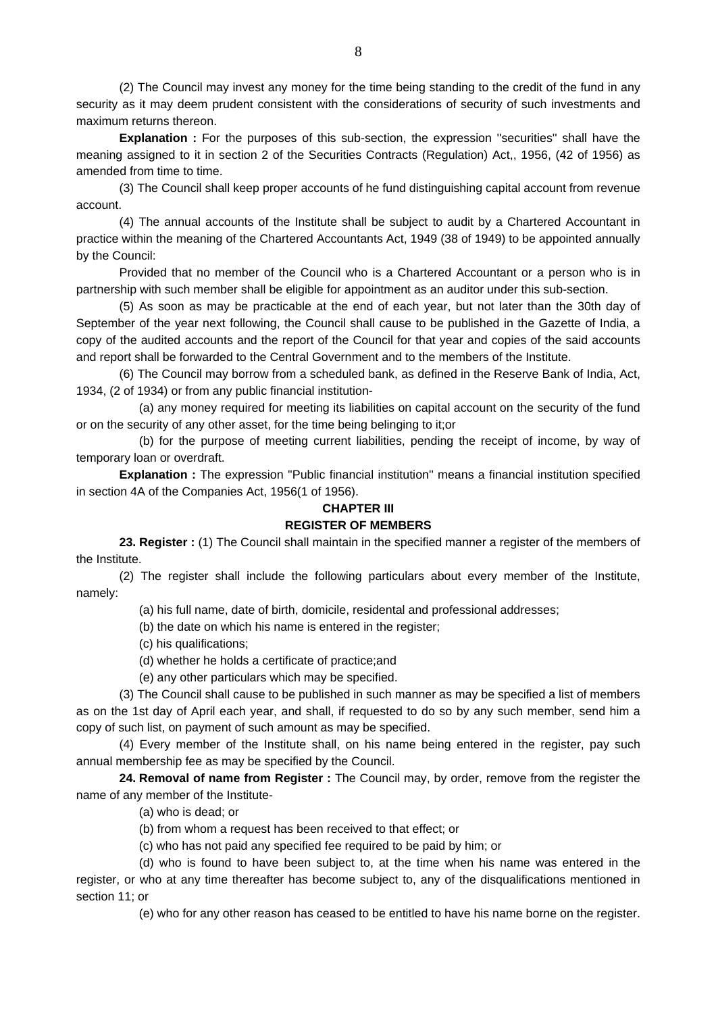(2) The Council may invest any money for the time being standing to the credit of the fund in any security as it may deem prudent consistent with the considerations of security of such investments and maximum returns thereon.

**Explanation :** For the purposes of this sub-section, the expression "securities" shall have the meaning assigned to it in section 2 of the Securities Contracts (Regulation) Act,, 1956, (42 of 1956) as amended from time to time.

 (3) The Council shall keep proper accounts of he fund distinguishing capital account from revenue account.

 (4) The annual accounts of the Institute shall be subject to audit by a Chartered Accountant in practice within the meaning of the Chartered Accountants Act, 1949 (38 of 1949) to be appointed annually by the Council:

 Provided that no member of the Council who is a Chartered Accountant or a person who is in partnership with such member shall be eligible for appointment as an auditor under this sub-section.

 (5) As soon as may be practicable at the end of each year, but not later than the 30th day of September of the year next following, the Council shall cause to be published in the Gazette of India, a copy of the audited accounts and the report of the Council for that year and copies of the said accounts and report shall be forwarded to the Central Government and to the members of the Institute.

 (6) The Council may borrow from a scheduled bank, as defined in the Reserve Bank of India, Act, 1934, (2 of 1934) or from any public financial institution-

 (a) any money required for meeting its liabilities on capital account on the security of the fund or on the security of any other asset, for the time being belinging to it;or

 (b) for the purpose of meeting current liabilities, pending the receipt of income, by way of temporary loan or overdraft.

**Explanation :** The expression ''Public financial institution'' means a financial institution specified in section 4A of the Companies Act, 1956(1 of 1956).

## **CHAPTER III**

## **REGISTER OF MEMBERS**

**23. Register**: (1) The Council shall maintain in the specified manner a register of the members of the Institute.

 (2) The register shall include the following particulars about every member of the Institute, namely:

(a) his full name, date of birth, domicile, residental and professional addresses;

(b) the date on which his name is entered in the register;

(c) his qualifications;

- (d) whether he holds a certificate of practice;and
- (e) any other particulars which may be specified.

 (3) The Council shall cause to be published in such manner as may be specified a list of members as on the 1st day of April each year, and shall, if requested to do so by any such member, send him a copy of such list, on payment of such amount as may be specified.

 (4) Every member of the Institute shall, on his name being entered in the register, pay such annual membership fee as may be specified by the Council.

**24. Removal of name from Register :** The Council may, by order, remove from the register the name of any member of the Institute-

- (a) who is dead; or
- (b) from whom a request has been received to that effect; or
- (c) who has not paid any specified fee required to be paid by him; or

 (d) who is found to have been subject to, at the time when his name was entered in the register, or who at any time thereafter has become subject to, any of the disqualifications mentioned in section 11; or

(e) who for any other reason has ceased to be entitled to have his name borne on the register.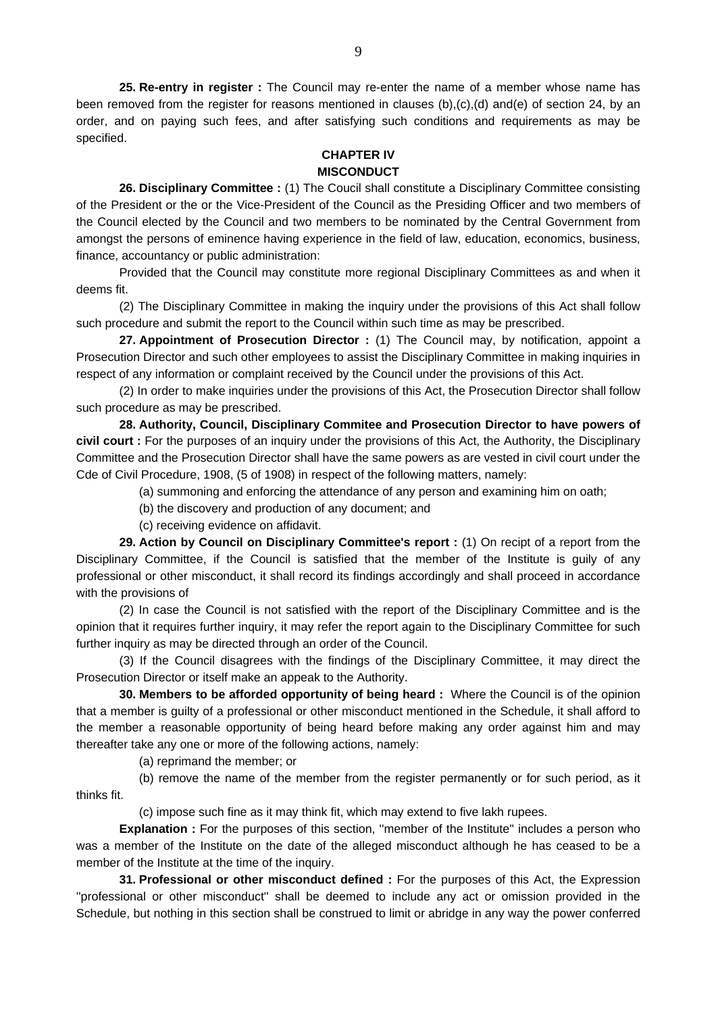**25. Re-entry in register :** The Council may re-enter the name of a member whose name has been removed from the register for reasons mentioned in clauses (b),(c),(d) and(e) of section 24, by an order, and on paying such fees, and after satisfying such conditions and requirements as may be specified.

## **CHAPTER IV MISCONDUCT**

 **26. Disciplinary Committee :** (1) The Coucil shall constitute a Disciplinary Committee consisting of the President or the or the Vice-President of the Council as the Presiding Officer and two members of the Council elected by the Council and two members to be nominated by the Central Government from amongst the persons of eminence having experience in the field of law, education, economics, business, finance, accountancy or public administration:

 Provided that the Council may constitute more regional Disciplinary Committees as and when it deems fit.

 (2) The Disciplinary Committee in making the inquiry under the provisions of this Act shall follow such procedure and submit the report to the Council within such time as may be prescribed.

**27. Appointment of Prosecution Director :** (1) The Council may, by notification, appoint a Prosecution Director and such other employees to assist the Disciplinary Committee in making inquiries in respect of any information or complaint received by the Council under the provisions of this Act.

 (2) In order to make inquiries under the provisions of this Act, the Prosecution Director shall follow such procedure as may be prescribed.

**28. Authority, Council, Disciplinary Commitee and Prosecution Director to have powers of civil court :** For the purposes of an inquiry under the provisions of this Act, the Authority, the Disciplinary Committee and the Prosecution Director shall have the same powers as are vested in civil court under the Cde of Civil Procedure, 1908, (5 of 1908) in respect of the following matters, namely:

(a) summoning and enforcing the attendance of any person and examining him on oath;

(b) the discovery and production of any document; and

(c) receiving evidence on affidavit.

**29. Action by Council on Disciplinary Committee's report :** (1) On recipt of a report from the Disciplinary Committee, if the Council is satisfied that the member of the Institute is guily of any professional or other misconduct, it shall record its findings accordingly and shall proceed in accordance with the provisions of

 (2) In case the Council is not satisfied with the report of the Disciplinary Committee and is the opinion that it requires further inquiry, it may refer the report again to the Disciplinary Committee for such further inquiry as may be directed through an order of the Council.

 (3) If the Council disagrees with the findings of the Disciplinary Committee, it may direct the Prosecution Director or itself make an appeak to the Authority.

**30. Members to be afforded opportunity of being heard :** Where the Council is of the opinion that a member is guilty of a professional or other misconduct mentioned in the Schedule, it shall afford to the member a reasonable opportunity of being heard before making any order against him and may thereafter take any one or more of the following actions, namely:

(a) reprimand the member; or

 (b) remove the name of the member from the register permanently or for such period, as it thinks fit.

(c) impose such fine as it may think fit, which may extend to five lakh rupees.

**Explanation :** For the purposes of this section, "member of the Institute" includes a person who was a member of the Institute on the date of the alleged misconduct although he has ceased to be a member of the Institute at the time of the inquiry.

**31. Professional or other misconduct defined :** For the purposes of this Act, the Expression ''professional or other misconduct'' shall be deemed to include any act or omission provided in the Schedule, but nothing in this section shall be construed to limit or abridge in any way the power conferred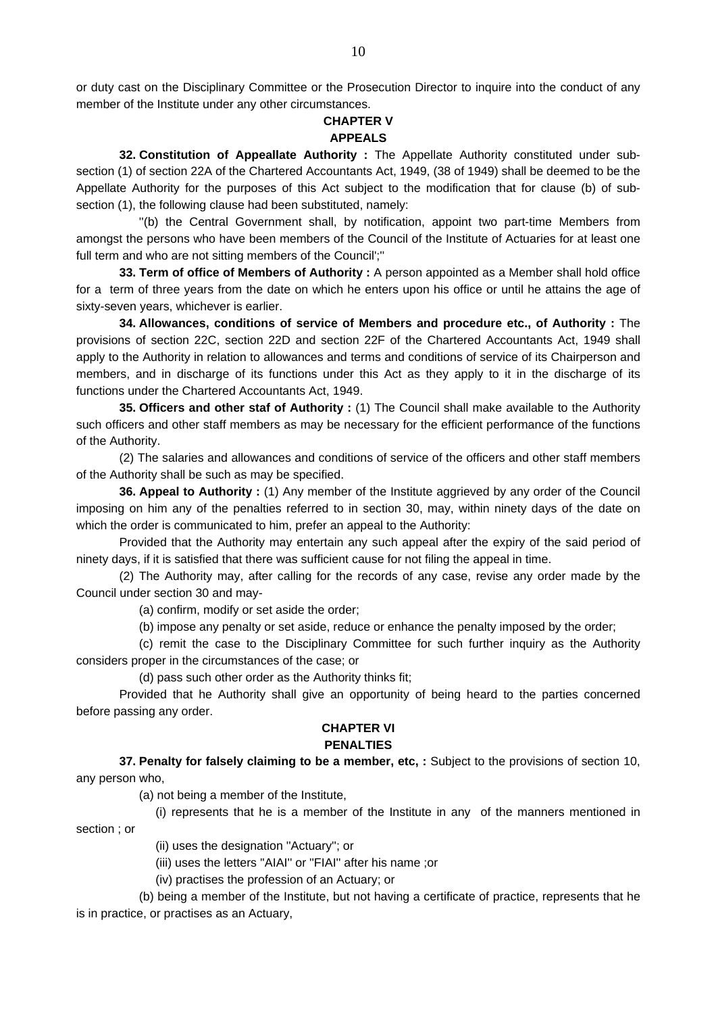or duty cast on the Disciplinary Committee or the Prosecution Director to inquire into the conduct of any member of the Institute under any other circumstances.

#### **CHAPTER V APPEALS**

 **32. Constitution of Appeallate Authority :** The Appellate Authority constituted under subsection (1) of section 22A of the Chartered Accountants Act, 1949, (38 of 1949) shall be deemed to be the Appellate Authority for the purposes of this Act subject to the modification that for clause (b) of subsection (1), the following clause had been substituted, namely:

 ''(b) the Central Government shall, by notification, appoint two part-time Members from amongst the persons who have been members of the Council of the Institute of Actuaries for at least one full term and who are not sitting members of the Council';''

**33. Term of office of Members of Authority :** A person appointed as a Member shall hold office for a term of three years from the date on which he enters upon his office or until he attains the age of sixty-seven years, whichever is earlier.

**34. Allowances, conditions of service of Members and procedure etc., of Authority :** The provisions of section 22C, section 22D and section 22F of the Chartered Accountants Act, 1949 shall apply to the Authority in relation to allowances and terms and conditions of service of its Chairperson and members, and in discharge of its functions under this Act as they apply to it in the discharge of its functions under the Chartered Accountants Act, 1949.

**35. Officers and other staf of Authority :** (1) The Council shall make available to the Authority such officers and other staff members as may be necessary for the efficient performance of the functions of the Authority.

 (2) The salaries and allowances and conditions of service of the officers and other staff members of the Authority shall be such as may be specified.

**36. Appeal to Authority :** (1) Any member of the Institute aggrieved by any order of the Council imposing on him any of the penalties referred to in section 30, may, within ninety days of the date on which the order is communicated to him, prefer an appeal to the Authority:

 Provided that the Authority may entertain any such appeal after the expiry of the said period of ninety days, if it is satisfied that there was sufficient cause for not filing the appeal in time.

 (2) The Authority may, after calling for the records of any case, revise any order made by the Council under section 30 and may-

(a) confirm, modify or set aside the order;

(b) impose any penalty or set aside, reduce or enhance the penalty imposed by the order;

 (c) remit the case to the Disciplinary Committee for such further inquiry as the Authority considers proper in the circumstances of the case; or

(d) pass such other order as the Authority thinks fit;

 Provided that he Authority shall give an opportunity of being heard to the parties concerned before passing any order.

#### **CHAPTER VI PENALTIES**

**37. Penalty for falsely claiming to be a member, etc, :** Subject to the provisions of section 10, any person who,

(a) not being a member of the Institute,

 (i) represents that he is a member of the Institute in any of the manners mentioned in section ; or

(ii) uses the designation ''Actuary''; or

(iii) uses the letters ''AIAI'' or ''FIAI'' after his name ;or

(iv) practises the profession of an Actuary; or

 (b) being a member of the Institute, but not having a certificate of practice, represents that he is in practice, or practises as an Actuary,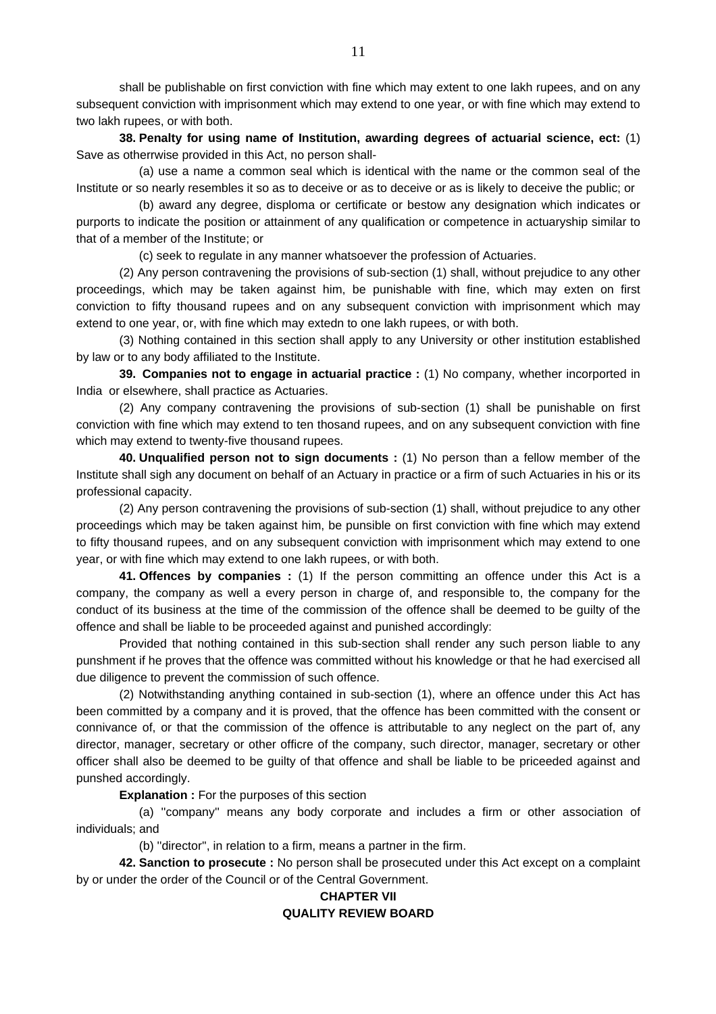shall be publishable on first conviction with fine which may extent to one lakh rupees, and on any subsequent conviction with imprisonment which may extend to one year, or with fine which may extend to two lakh rupees, or with both.

**38. Penalty for using name of Institution, awarding degrees of actuarial science, ect:** (1) Save as otherrwise provided in this Act, no person shall-

 (a) use a name a common seal which is identical with the name or the common seal of the Institute or so nearly resembles it so as to deceive or as to deceive or as is likely to deceive the public; or

 (b) award any degree, disploma or certificate or bestow any designation which indicates or purports to indicate the position or attainment of any qualification or competence in actuaryship similar to that of a member of the Institute; or

(c) seek to regulate in any manner whatsoever the profession of Actuaries.

 (2) Any person contravening the provisions of sub-section (1) shall, without prejudice to any other proceedings, which may be taken against him, be punishable with fine, which may exten on first conviction to fifty thousand rupees and on any subsequent conviction with imprisonment which may extend to one year, or, with fine which may extedn to one lakh rupees, or with both.

 (3) Nothing contained in this section shall apply to any University or other institution established by law or to any body affiliated to the Institute.

**39. Companies not to engage in actuarial practice :** (1) No company, whether incorported in India or elsewhere, shall practice as Actuaries.

 (2) Any company contravening the provisions of sub-section (1) shall be punishable on first conviction with fine which may extend to ten thosand rupees, and on any subsequent conviction with fine which may extend to twenty-five thousand rupees.

**40. Unqualified person not to sign documents :** (1) No person than a fellow member of the Institute shall sigh any document on behalf of an Actuary in practice or a firm of such Actuaries in his or its professional capacity.

 (2) Any person contravening the provisions of sub-section (1) shall, without prejudice to any other proceedings which may be taken against him, be punsible on first conviction with fine which may extend to fifty thousand rupees, and on any subsequent conviction with imprisonment which may extend to one year, or with fine which may extend to one lakh rupees, or with both.

**41. Offences by companies :** (1) If the person committing an offence under this Act is a company, the company as well a every person in charge of, and responsible to, the company for the conduct of its business at the time of the commission of the offence shall be deemed to be guilty of the offence and shall be liable to be proceeded against and punished accordingly:

 Provided that nothing contained in this sub-section shall render any such person liable to any punshment if he proves that the offence was committed without his knowledge or that he had exercised all due diligence to prevent the commission of such offence.

 (2) Notwithstanding anything contained in sub-section (1), where an offence under this Act has been committed by a company and it is proved, that the offence has been committed with the consent or connivance of, or that the commission of the offence is attributable to any neglect on the part of, any director, manager, secretary or other officre of the company, such director, manager, secretary or other officer shall also be deemed to be guilty of that offence and shall be liable to be priceeded against and punshed accordingly.

**Explanation :** For the purposes of this section

 (a) ''company'' means any body corporate and includes a firm or other association of individuals; and

(b) ''director'', in relation to a firm, means a partner in the firm.

**42. Sanction to prosecute :** No person shall be prosecuted under this Act except on a complaint by or under the order of the Council or of the Central Government.

## **CHAPTER VII QUALITY REVIEW BOARD**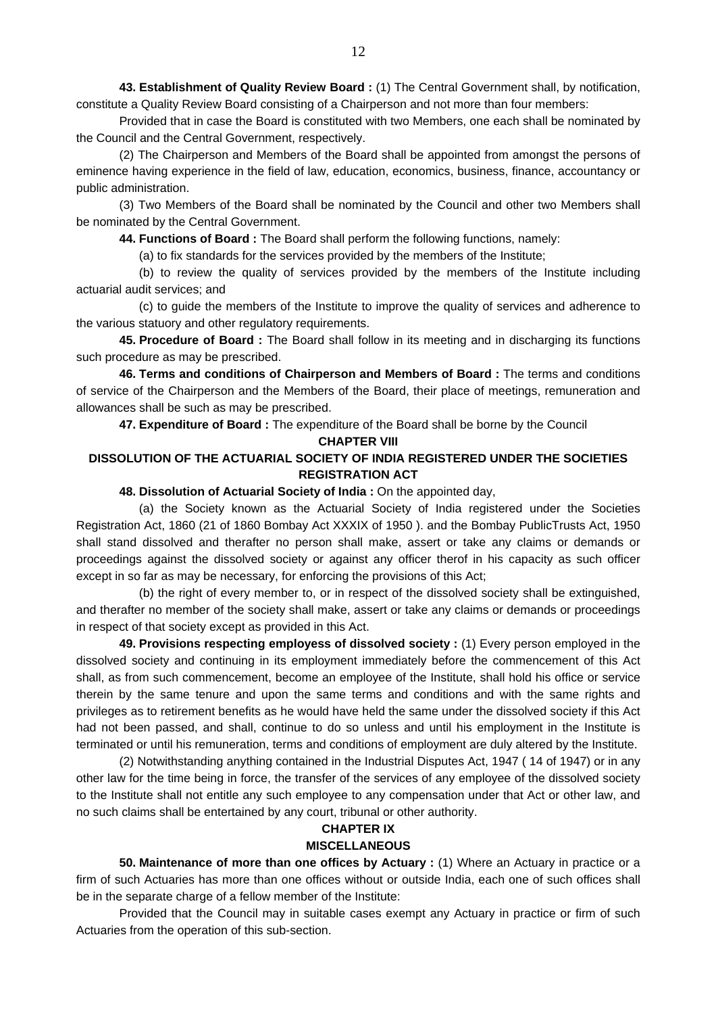**43. Establishment of Quality Review Board :** (1) The Central Government shall, by notification, constitute a Quality Review Board consisting of a Chairperson and not more than four members:

 Provided that in case the Board is constituted with two Members, one each shall be nominated by the Council and the Central Government, respectively.

 (2) The Chairperson and Members of the Board shall be appointed from amongst the persons of eminence having experience in the field of law, education, economics, business, finance, accountancy or public administration.

 (3) Two Members of the Board shall be nominated by the Council and other two Members shall be nominated by the Central Government.

**44. Functions of Board :** The Board shall perform the following functions, namely:

(a) to fix standards for the services provided by the members of the Institute;

 (b) to review the quality of services provided by the members of the Institute including actuarial audit services; and

 (c) to guide the members of the Institute to improve the quality of services and adherence to the various statuory and other regulatory requirements.

**45. Procedure of Board :** The Board shall follow in its meeting and in discharging its functions such procedure as may be prescribed.

**46. Terms and conditions of Chairperson and Members of Board :** The terms and conditions of service of the Chairperson and the Members of the Board, their place of meetings, remuneration and allowances shall be such as may be prescribed.

**47. Expenditure of Board :** The expenditure of the Board shall be borne by the Council

#### **CHAPTER VIII**

## **DISSOLUTION OF THE ACTUARIAL SOCIETY OF INDIA REGISTERED UNDER THE SOCIETIES REGISTRATION ACT**

#### **48. Dissolution of Actuarial Society of India :** On the appointed day,

 (a) the Society known as the Actuarial Society of India registered under the Societies Registration Act, 1860 (21 of 1860 Bombay Act XXXIX of 1950 ). and the Bombay PublicTrusts Act, 1950 shall stand dissolved and therafter no person shall make, assert or take any claims or demands or proceedings against the dissolved society or against any officer therof in his capacity as such officer except in so far as may be necessary, for enforcing the provisions of this Act;

 (b) the right of every member to, or in respect of the dissolved society shall be extinguished, and therafter no member of the society shall make, assert or take any claims or demands or proceedings in respect of that society except as provided in this Act.

**49. Provisions respecting employess of dissolved society :** (1) Every person employed in the dissolved society and continuing in its employment immediately before the commencement of this Act shall, as from such commencement, become an employee of the Institute, shall hold his office or service therein by the same tenure and upon the same terms and conditions and with the same rights and privileges as to retirement benefits as he would have held the same under the dissolved society if this Act had not been passed, and shall, continue to do so unless and until his employment in the Institute is terminated or until his remuneration, terms and conditions of employment are duly altered by the Institute.

 (2) Notwithstanding anything contained in the Industrial Disputes Act, 1947 ( 14 of 1947) or in any other law for the time being in force, the transfer of the services of any employee of the dissolved society to the Institute shall not entitle any such employee to any compensation under that Act or other law, and no such claims shall be entertained by any court, tribunal or other authority.

### **CHAPTER IX**

### **MISCELLANEOUS**

 **50. Maintenance of more than one offices by Actuary :** (1) Where an Actuary in practice or a firm of such Actuaries has more than one offices without or outside India, each one of such offices shall be in the separate charge of a fellow member of the Institute:

 Provided that the Council may in suitable cases exempt any Actuary in practice or firm of such Actuaries from the operation of this sub-section.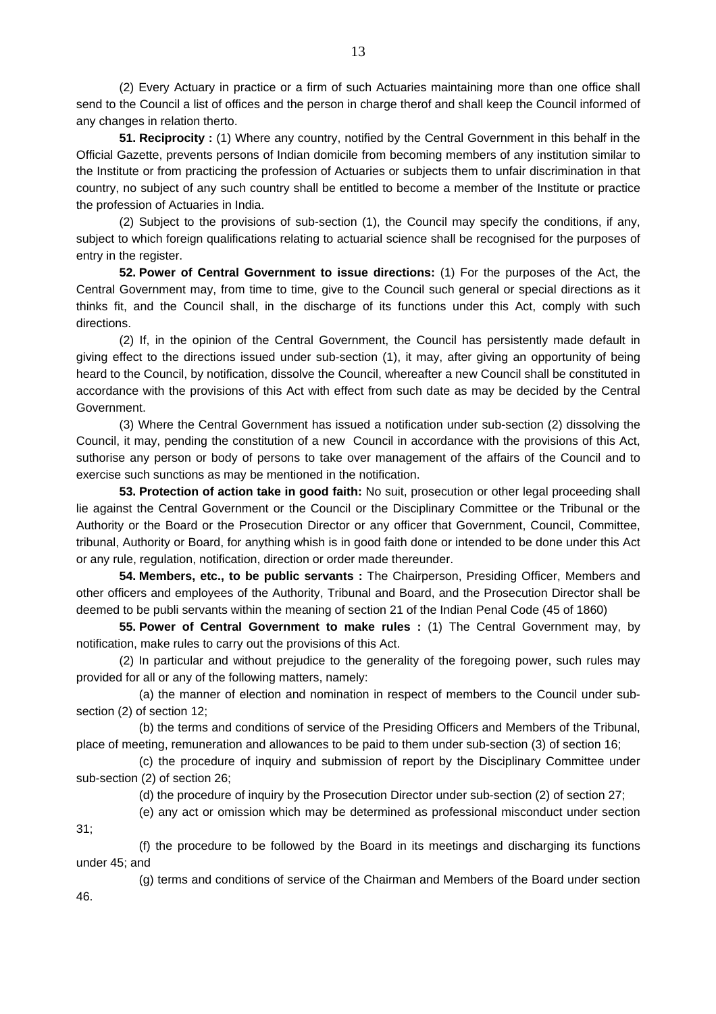(2) Every Actuary in practice or a firm of such Actuaries maintaining more than one office shall send to the Council a list of offices and the person in charge therof and shall keep the Council informed of any changes in relation therto.

**51. Reciprocity :** (1) Where any country, notified by the Central Government in this behalf in the Official Gazette, prevents persons of Indian domicile from becoming members of any institution similar to the Institute or from practicing the profession of Actuaries or subjects them to unfair discrimination in that country, no subject of any such country shall be entitled to become a member of the Institute or practice the profession of Actuaries in India.

 (2) Subject to the provisions of sub-section (1), the Council may specify the conditions, if any, subject to which foreign qualifications relating to actuarial science shall be recognised for the purposes of entry in the register.

**52. Power of Central Government to issue directions:** (1) For the purposes of the Act, the Central Government may, from time to time, give to the Council such general or special directions as it thinks fit, and the Council shall, in the discharge of its functions under this Act, comply with such directions.

 (2) If, in the opinion of the Central Government, the Council has persistently made default in giving effect to the directions issued under sub-section (1), it may, after giving an opportunity of being heard to the Council, by notification, dissolve the Council, whereafter a new Council shall be constituted in accordance with the provisions of this Act with effect from such date as may be decided by the Central Government.

 (3) Where the Central Government has issued a notification under sub-section (2) dissolving the Council, it may, pending the constitution of a new Council in accordance with the provisions of this Act, suthorise any person or body of persons to take over management of the affairs of the Council and to exercise such sunctions as may be mentioned in the notification.

**53. Protection of action take in good faith:** No suit, prosecution or other legal proceeding shall lie against the Central Government or the Council or the Disciplinary Committee or the Tribunal or the Authority or the Board or the Prosecution Director or any officer that Government, Council, Committee, tribunal, Authority or Board, for anything whish is in good faith done or intended to be done under this Act or any rule, regulation, notification, direction or order made thereunder.

**54. Members, etc., to be public servants :** The Chairperson, Presiding Officer, Members and other officers and employees of the Authority, Tribunal and Board, and the Prosecution Director shall be deemed to be publi servants within the meaning of section 21 of the Indian Penal Code (45 of 1860)

**55. Power of Central Government to make rules :** (1) The Central Government may, by notification, make rules to carry out the provisions of this Act.

 (2) In particular and without prejudice to the generality of the foregoing power, such rules may provided for all or any of the following matters, namely:

 (a) the manner of election and nomination in respect of members to the Council under subsection (2) of section 12;

 (b) the terms and conditions of service of the Presiding Officers and Members of the Tribunal, place of meeting, remuneration and allowances to be paid to them under sub-section (3) of section 16;

 (c) the procedure of inquiry and submission of report by the Disciplinary Committee under sub-section (2) of section 26;

(d) the procedure of inquiry by the Prosecution Director under sub-section (2) of section 27;

(e) any act or omission which may be determined as professional misconduct under section

 (f) the procedure to be followed by the Board in its meetings and discharging its functions under 45; and

(g) terms and conditions of service of the Chairman and Members of the Board under section

46.

31;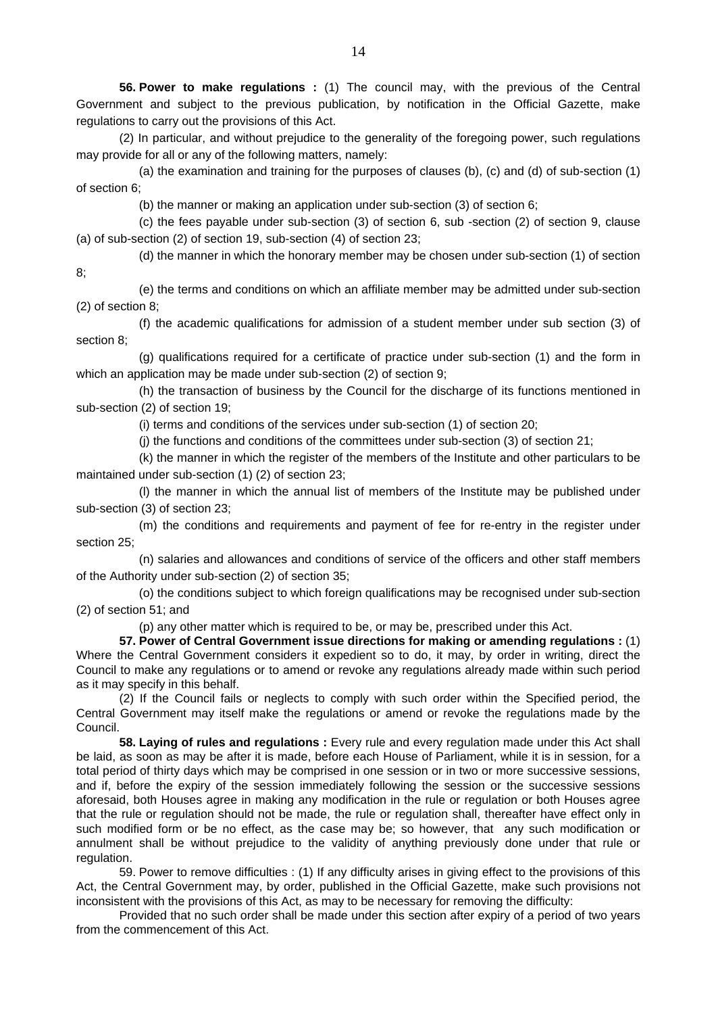**56. Power to make regulations :** (1) The council may, with the previous of the Central Government and subject to the previous publication, by notification in the Official Gazette, make regulations to carry out the provisions of this Act.

 (2) In particular, and without prejudice to the generality of the foregoing power, such regulations may provide for all or any of the following matters, namely:

 (a) the examination and training for the purposes of clauses (b), (c) and (d) of sub-section (1) of section 6;

(b) the manner or making an application under sub-section (3) of section 6;

8;

 (c) the fees payable under sub-section (3) of section 6, sub -section (2) of section 9, clause (a) of sub-section (2) of section 19, sub-section (4) of section 23;

(d) the manner in which the honorary member may be chosen under sub-section (1) of section

 (e) the terms and conditions on which an affiliate member may be admitted under sub-section (2) of section 8;

 (f) the academic qualifications for admission of a student member under sub section (3) of section 8;

 (g) qualifications required for a certificate of practice under sub-section (1) and the form in which an application may be made under sub-section (2) of section 9;

 (h) the transaction of business by the Council for the discharge of its functions mentioned in sub-section (2) of section 19;

(i) terms and conditions of the services under sub-section (1) of section 20;

(j) the functions and conditions of the committees under sub-section (3) of section 21;

 (k) the manner in which the register of the members of the Institute and other particulars to be maintained under sub-section (1) (2) of section 23;

 (l) the manner in which the annual list of members of the Institute may be published under sub-section (3) of section 23;

 (m) the conditions and requirements and payment of fee for re-entry in the register under section 25;

 (n) salaries and allowances and conditions of service of the officers and other staff members of the Authority under sub-section (2) of section 35;

 (o) the conditions subject to which foreign qualifications may be recognised under sub-section (2) of section 51; and

(p) any other matter which is required to be, or may be, prescribed under this Act.

**57. Power of Central Government issue directions for making or amending regulations :** (1) Where the Central Government considers it expedient so to do, it may, by order in writing, direct the Council to make any regulations or to amend or revoke any regulations already made within such period as it may specify in this behalf.

 (2) If the Council fails or neglects to comply with such order within the Specified period, the Central Government may itself make the regulations or amend or revoke the regulations made by the Council.

**58. Laying of rules and regulations :** Every rule and every regulation made under this Act shall be laid, as soon as may be after it is made, before each House of Parliament, while it is in session, for a total period of thirty days which may be comprised in one session or in two or more successive sessions, and if, before the expiry of the session immediately following the session or the successive sessions aforesaid, both Houses agree in making any modification in the rule or regulation or both Houses agree that the rule or regulation should not be made, the rule or regulation shall, thereafter have effect only in such modified form or be no effect, as the case may be; so however, that any such modification or annulment shall be without prejudice to the validity of anything previously done under that rule or regulation.

 59. Power to remove difficulties : (1) If any difficulty arises in giving effect to the provisions of this Act, the Central Government may, by order, published in the Official Gazette, make such provisions not inconsistent with the provisions of this Act, as may to be necessary for removing the difficulty:

 Provided that no such order shall be made under this section after expiry of a period of two years from the commencement of this Act.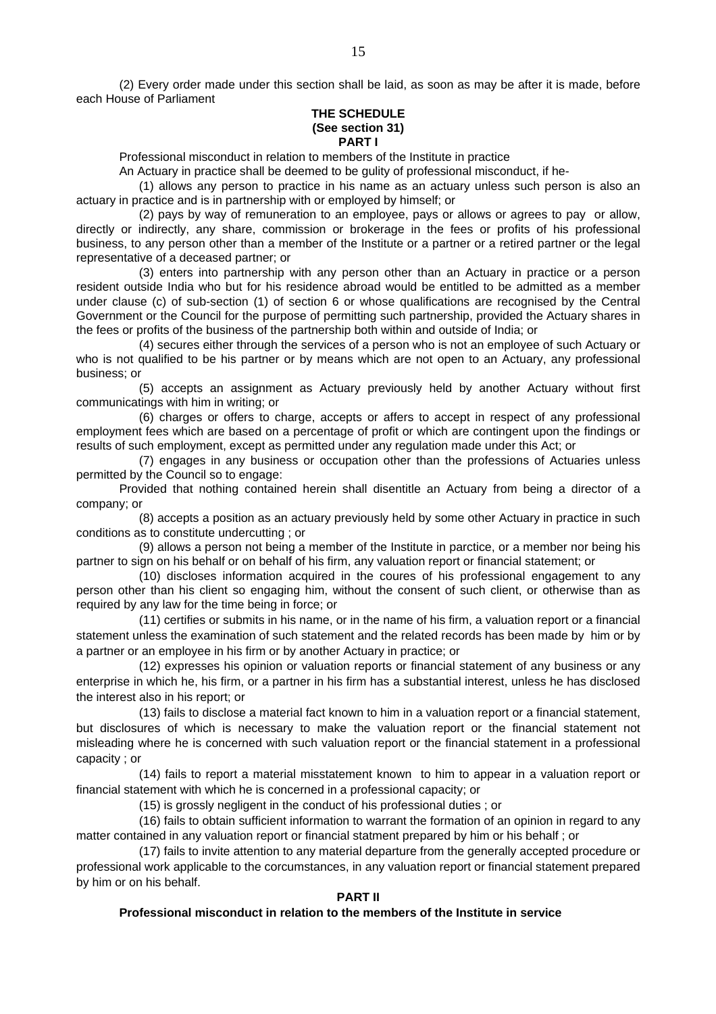(2) Every order made under this section shall be laid, as soon as may be after it is made, before each House of Parliament

#### **THE SCHEDULE (See section 31) PART I**

Professional misconduct in relation to members of the Institute in practice

An Actuary in practice shall be deemed to be gulity of professional misconduct, if he-

 (1) allows any person to practice in his name as an actuary unless such person is also an actuary in practice and is in partnership with or employed by himself; or

 (2) pays by way of remuneration to an employee, pays or allows or agrees to pay or allow, directly or indirectly, any share, commission or brokerage in the fees or profits of his professional business, to any person other than a member of the Institute or a partner or a retired partner or the legal representative of a deceased partner; or

 (3) enters into partnership with any person other than an Actuary in practice or a person resident outside India who but for his residence abroad would be entitled to be admitted as a member under clause (c) of sub-section (1) of section 6 or whose qualifications are recognised by the Central Government or the Council for the purpose of permitting such partnership, provided the Actuary shares in the fees or profits of the business of the partnership both within and outside of India; or

 (4) secures either through the services of a person who is not an employee of such Actuary or who is not qualified to be his partner or by means which are not open to an Actuary, any professional business; or

 (5) accepts an assignment as Actuary previously held by another Actuary without first communicatings with him in writing; or

 (6) charges or offers to charge, accepts or affers to accept in respect of any professional employment fees which are based on a percentage of profit or which are contingent upon the findings or results of such employment, except as permitted under any regulation made under this Act; or

 (7) engages in any business or occupation other than the professions of Actuaries unless permitted by the Council so to engage:

 Provided that nothing contained herein shall disentitle an Actuary from being a director of a company; or

 (8) accepts a position as an actuary previously held by some other Actuary in practice in such conditions as to constitute undercutting ; or

 (9) allows a person not being a member of the Institute in parctice, or a member nor being his partner to sign on his behalf or on behalf of his firm, any valuation report or financial statement; or

 (10) discloses information acquired in the coures of his professional engagement to any person other than his client so engaging him, without the consent of such client, or otherwise than as required by any law for the time being in force; or

 (11) certifies or submits in his name, or in the name of his firm, a valuation report or a financial statement unless the examination of such statement and the related records has been made by him or by a partner or an employee in his firm or by another Actuary in practice; or

 (12) expresses his opinion or valuation reports or financial statement of any business or any enterprise in which he, his firm, or a partner in his firm has a substantial interest, unless he has disclosed the interest also in his report; or

 (13) fails to disclose a material fact known to him in a valuation report or a financial statement, but disclosures of which is necessary to make the valuation report or the financial statement not misleading where he is concerned with such valuation report or the financial statement in a professional capacity ; or

 (14) fails to report a material misstatement known to him to appear in a valuation report or financial statement with which he is concerned in a professional capacity; or

(15) is grossly negligent in the conduct of his professional duties ; or

 (16) fails to obtain sufficient information to warrant the formation of an opinion in regard to any matter contained in any valuation report or financial statment prepared by him or his behalf ; or

 (17) fails to invite attention to any material departure from the generally accepted procedure or professional work applicable to the corcumstances, in any valuation report or financial statement prepared by him or on his behalf.

#### **PART II**

#### **Professional misconduct in relation to the members of the Institute in service**